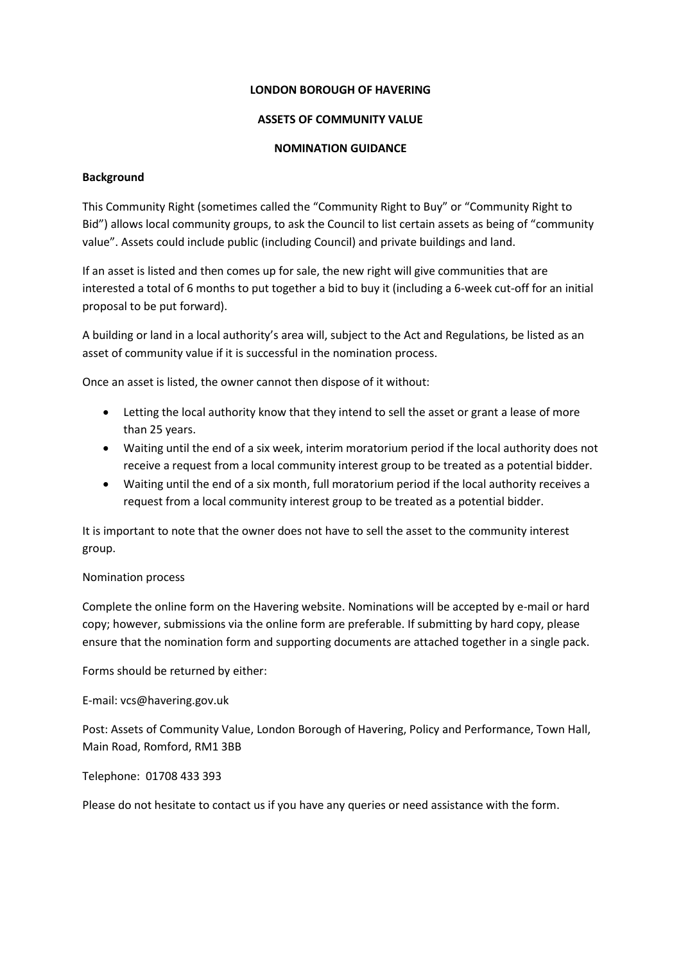#### **LONDON BOROUGH OF HAVERING**

#### **ASSETS OF COMMUNITY VALUE**

#### **NOMINATION GUIDANCE**

#### **Background**

This Community Right (sometimes called the "Community Right to Buy" or "Community Right to Bid") allows local community groups, to ask the Council to list certain assets as being of "community value". Assets could include public (including Council) and private buildings and land.

If an asset is listed and then comes up for sale, the new right will give communities that are interested a total of 6 months to put together a bid to buy it (including a 6-week cut-off for an initial proposal to be put forward).

A building or land in a local authority's area will, subject to the Act and Regulations, be listed as an asset of community value if it is successful in the nomination process.

Once an asset is listed, the owner cannot then dispose of it without:

- Letting the local authority know that they intend to sell the asset or grant a lease of more than 25 years.
- Waiting until the end of a six week, interim moratorium period if the local authority does not receive a request from a local community interest group to be treated as a potential bidder.
- Waiting until the end of a six month, full moratorium period if the local authority receives a request from a local community interest group to be treated as a potential bidder.

It is important to note that the owner does not have to sell the asset to the community interest group.

#### Nomination process

Complete the online form on the Havering website. Nominations will be accepted by e-mail or hard copy; however, submissions via the online form are preferable. If submitting by hard copy, please ensure that the nomination form and supporting documents are attached together in a single pack.

Forms should be returned by either:

E-mail: vcs@havering.gov.uk

Post: Assets of Community Value, London Borough of Havering, Policy and Performance, Town Hall, Main Road, Romford, RM1 3BB

Telephone: 01708 433 393

Please do not hesitate to contact us if you have any queries or need assistance with the form.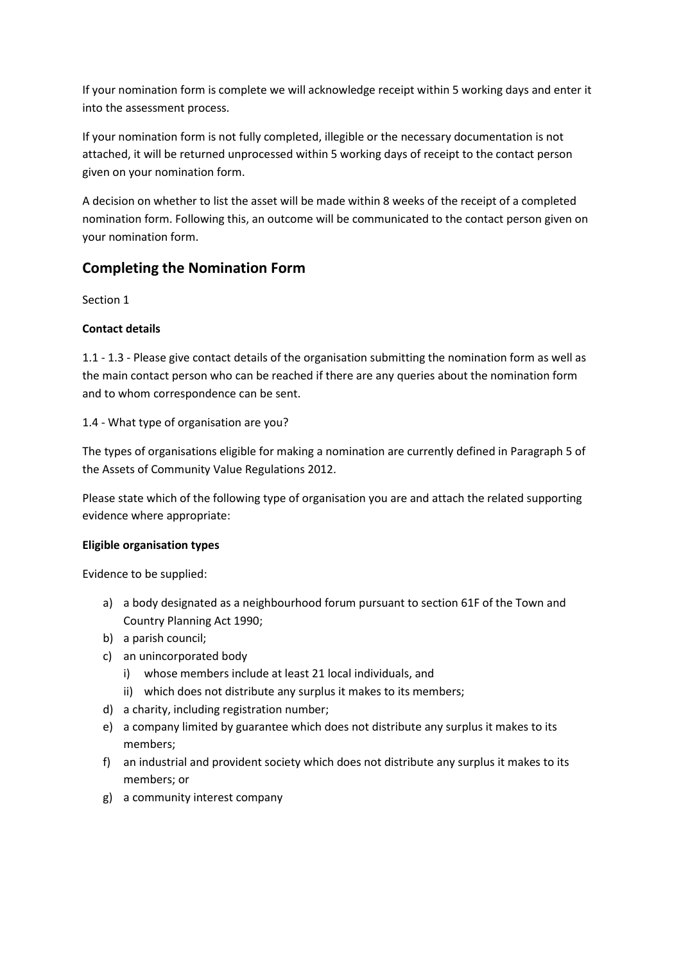If your nomination form is complete we will acknowledge receipt within 5 working days and enter it into the assessment process.

If your nomination form is not fully completed, illegible or the necessary documentation is not attached, it will be returned unprocessed within 5 working days of receipt to the contact person given on your nomination form.

A decision on whether to list the asset will be made within 8 weeks of the receipt of a completed nomination form. Following this, an outcome will be communicated to the contact person given on your nomination form.

# **Completing the Nomination Form**

Section 1

## **Contact details**

1.1 - 1.3 - Please give contact details of the organisation submitting the nomination form as well as the main contact person who can be reached if there are any queries about the nomination form and to whom correspondence can be sent.

## 1.4 - What type of organisation are you?

The types of organisations eligible for making a nomination are currently defined in Paragraph 5 of the Assets of Community Value Regulations 2012.

Please state which of the following type of organisation you are and attach the related supporting evidence where appropriate:

### **Eligible organisation types**

Evidence to be supplied:

- a) a body designated as a neighbourhood forum pursuant to section 61F of the Town and Country Planning Act 1990;
- b) a parish council;
- c) an unincorporated body
	- i) whose members include at least 21 local individuals, and
	- ii) which does not distribute any surplus it makes to its members;
- d) a charity, including registration number;
- e) a company limited by guarantee which does not distribute any surplus it makes to its members;
- f) an industrial and provident society which does not distribute any surplus it makes to its members; or
- g) a community interest company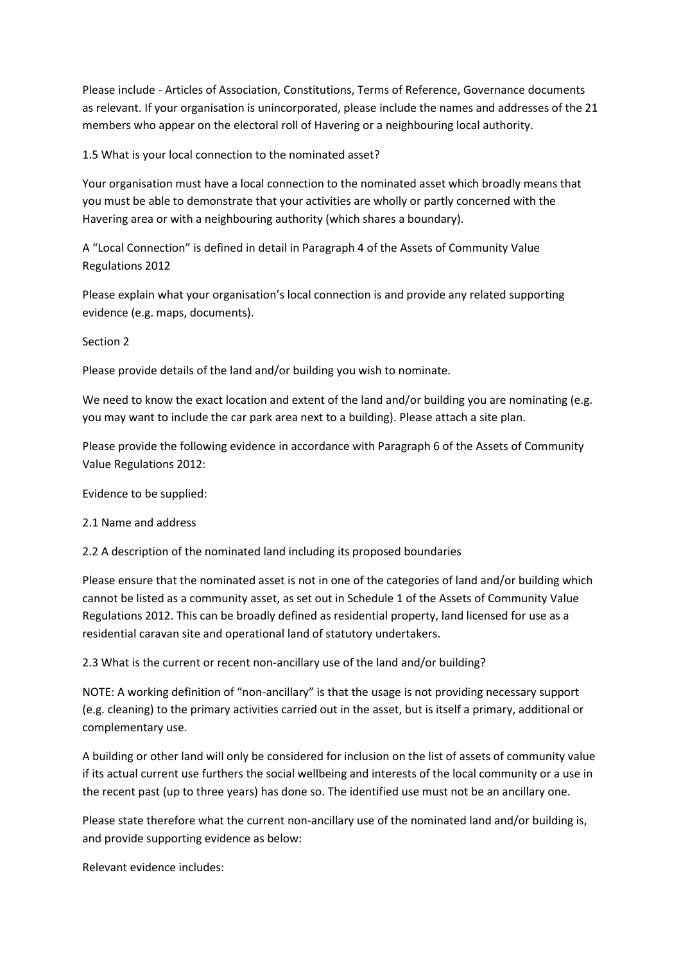Please include - Articles of Association, Constitutions, Terms of Reference, Governance documents as relevant. If your organisation is unincorporated, please include the names and addresses of the 21 members who appear on the electoral roll of Havering or a neighbouring local authority.

1.5 What is your local connection to the nominated asset?

Your organisation must have a local connection to the nominated asset which broadly means that you must be able to demonstrate that your activities are wholly or partly concerned with the Havering area or with a neighbouring authority (which shares a boundary).

A "Local Connection" is defined in detail in Paragraph 4 of the Assets of Community Value Regulations 2012

Please explain what your organisation's local connection is and provide any related supporting evidence (e.g. maps, documents).

Section 2

Please provide details of the land and/or building you wish to nominate.

We need to know the exact location and extent of the land and/or building you are nominating (e.g. you may want to include the car park area next to a building). Please attach a site plan.

Please provide the following evidence in accordance with Paragraph 6 of the Assets of Community Value Regulations 2012:

Evidence to be supplied:

2.1 Name and address

2.2 A description of the nominated land including its proposed boundaries

Please ensure that the nominated asset is not in one of the categories of land and/or building which cannot be listed as a community asset, as set out in Schedule 1 of the Assets of Community Value Regulations 2012. This can be broadly defined as residential property, land licensed for use as a residential caravan site and operational land of statutory undertakers.

2.3 What is the current or recent non-ancillary use of the land and/or building?

NOTE: A working definition of "non-ancillary" is that the usage is not providing necessary support (e.g. cleaning) to the primary activities carried out in the asset, but is itself a primary, additional or complementary use.

A building or other land will only be considered for inclusion on the list of assets of community value if its actual current use furthers the social wellbeing and interests of the local community or a use in the recent past (up to three years) has done so. The identified use must not be an ancillary one.

Please state therefore what the current non-ancillary use of the nominated land and/or building is, and provide supporting evidence as below:

Relevant evidence includes: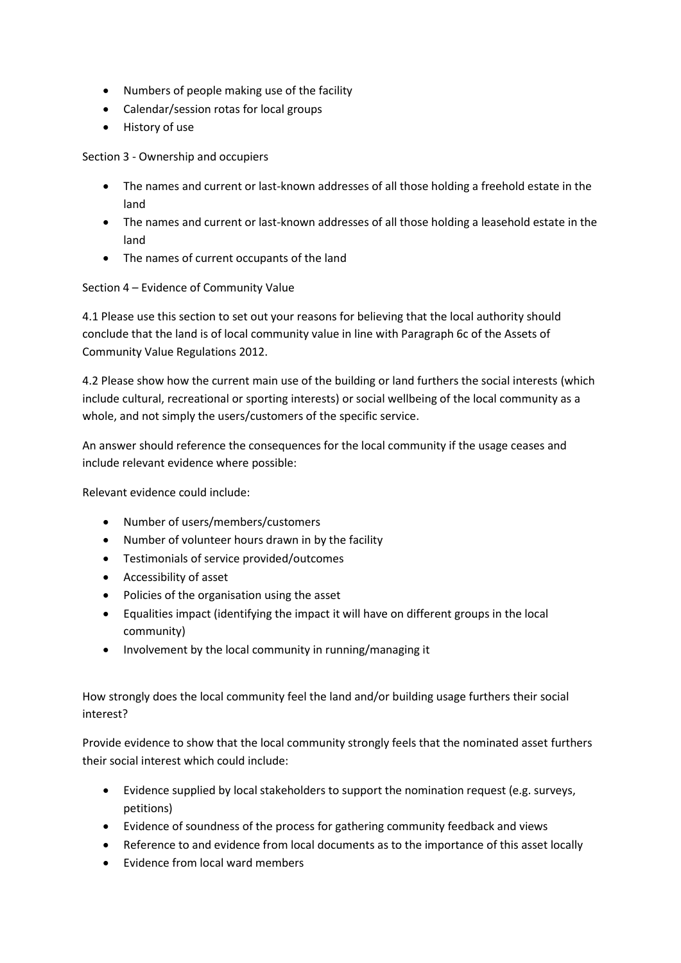- Numbers of people making use of the facility
- Calendar/session rotas for local groups
- History of use

Section 3 - Ownership and occupiers

- The names and current or last-known addresses of all those holding a freehold estate in the land
- The names and current or last-known addresses of all those holding a leasehold estate in the land
- The names of current occupants of the land

Section 4 – Evidence of Community Value

4.1 Please use this section to set out your reasons for believing that the local authority should conclude that the land is of local community value in line with Paragraph 6c of the Assets of Community Value Regulations 2012.

4.2 Please show how the current main use of the building or land furthers the social interests (which include cultural, recreational or sporting interests) or social wellbeing of the local community as a whole, and not simply the users/customers of the specific service.

An answer should reference the consequences for the local community if the usage ceases and include relevant evidence where possible:

Relevant evidence could include:

- Number of users/members/customers
- Number of volunteer hours drawn in by the facility
- Testimonials of service provided/outcomes
- Accessibility of asset
- Policies of the organisation using the asset
- Equalities impact (identifying the impact it will have on different groups in the local community)
- Involvement by the local community in running/managing it

How strongly does the local community feel the land and/or building usage furthers their social interest?

Provide evidence to show that the local community strongly feels that the nominated asset furthers their social interest which could include:

- Evidence supplied by local stakeholders to support the nomination request (e.g. surveys, petitions)
- Evidence of soundness of the process for gathering community feedback and views
- Reference to and evidence from local documents as to the importance of this asset locally
- $\bullet$  Fyidence from local ward members